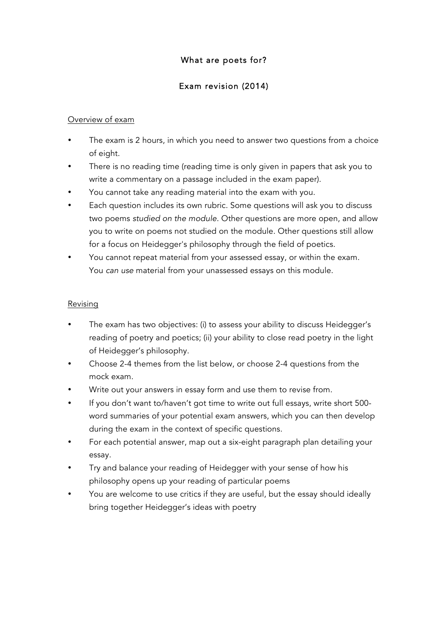# What are poets for?

# Exam revision (2014)

### Overview of exam

- The exam is 2 hours, in which you need to answer two questions from a choice of eight.
- There is no reading time (reading time is only given in papers that ask you to write a commentary on a passage included in the exam paper).
- You cannot take any reading material into the exam with you.
- Each question includes its own rubric. Some questions will ask you to discuss two poems *studied on the module*. Other questions are more open, and allow you to write on poems not studied on the module. Other questions still allow for a focus on Heidegger's philosophy through the field of poetics.
- You cannot repeat material from your assessed essay, or within the exam. You *can use* material from your unassessed essays on this module.

#### Revising

- The exam has two objectives: (i) to assess your ability to discuss Heidegger's reading of poetry and poetics; (ii) your ability to close read poetry in the light of Heidegger's philosophy.
- Choose 2-4 themes from the list below, or choose 2-4 questions from the mock exam.
- Write out your answers in essay form and use them to revise from.
- If you don't want to/haven't got time to write out full essays, write short 500 word summaries of your potential exam answers, which you can then develop during the exam in the context of specific questions.
- For each potential answer, map out a six-eight paragraph plan detailing your essay.
- Try and balance your reading of Heidegger with your sense of how his philosophy opens up your reading of particular poems
- You are welcome to use critics if they are useful, but the essay should ideally bring together Heidegger's ideas with poetry